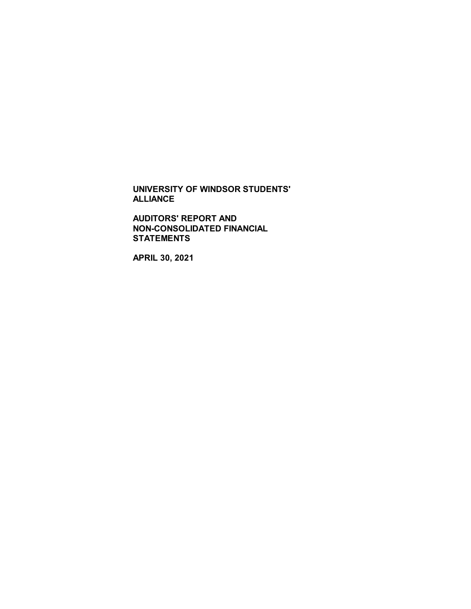**AUDITORS' REPORT AND NON-CONSOLIDATED FINANCIAL STATEMENTS**

**APRIL 30, 2021**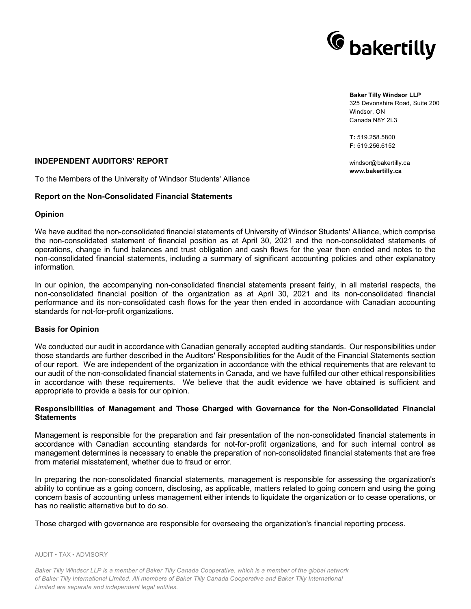

#### **Baker Tilly Windsor LLP** 325 Devonshire Road, Suite 200 Windsor, ON Canada N8Y 2L3

**T:** 519.258.5800 **F:** 519.256.6152

windsor@bakertilly.ca **www.bakertilly.ca**

## **INDEPENDENT AUDITORS' REPORT**

To the Members of the University of Windsor Students' Alliance

#### **Report on the Non-Consolidated Financial Statements**

#### **Opinion**

We have audited the non-consolidated financial statements of University of Windsor Students' Alliance, which comprise the non-consolidated statement of financial position as at April 30, 2021 and the non-consolidated statements of operations, change in fund balances and trust obligation and cash flows for the year then ended and notes to the non-consolidated financial statements, including a summary of significant accounting policies and other explanatory information.

In our opinion, the accompanying non-consolidated financial statements present fairly, in all material respects, the non-consolidated financial position of the organization as at April 30, 2021 and its non-consolidated financial performance and its non-consolidated cash flows for the year then ended in accordance with Canadian accounting standards for not-for-profit organizations.

## **Basis for Opinion**

We conducted our audit in accordance with Canadian generally accepted auditing standards. Our responsibilities under those standards are further described in the Auditors' Responsibilities for the Audit of the Financial Statements section of our report. We are independent of the organization in accordance with the ethical requirements that are relevant to our audit of the non-consolidated financial statements in Canada, and we have fulfilled our other ethical responsibilities in accordance with these requirements. We believe that the audit evidence we have obtained is sufficient and appropriate to provide a basis for our opinion.

## **Responsibilities of Management and Those Charged with Governance for the Non-Consolidated Financial Statements**

Management is responsible for the preparation and fair presentation of the non-consolidated financial statements in accordance with Canadian accounting standards for not-for-profit organizations, and for such internal control as management determines is necessary to enable the preparation of non-consolidated financial statements that are free from material misstatement, whether due to fraud or error.

In preparing the non-consolidated financial statements, management is responsible for assessing the organization's ability to continue as a going concern, disclosing, as applicable, matters related to going concern and using the going concern basis of accounting unless management either intends to liquidate the organization or to cease operations, or has no realistic alternative but to do so.

Those charged with governance are responsible for overseeing the organization's financial reporting process.

#### AUDIT • TAX • ADVISORY

*Baker Tilly Windsor LLP is a member of Baker Tilly Canada Cooperative, which is a member of the global network of Baker Tilly International Limited. All members of Baker Tilly Canada Cooperative and Baker Tilly International Limited are separate and independent legal entities.*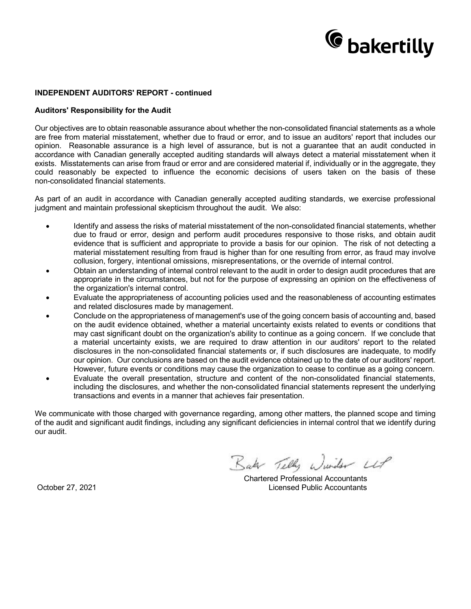# <sup>C</sup> bakertilly

## **INDEPENDENT AUDITORS' REPORT - continued**

#### **Auditors' Responsibility for the Audit**

Our objectives are to obtain reasonable assurance about whether the non-consolidated financial statements as a whole are free from material misstatement, whether due to fraud or error, and to issue an auditors' report that includes our opinion. Reasonable assurance is a high level of assurance, but is not a guarantee that an audit conducted in accordance with Canadian generally accepted auditing standards will always detect a material misstatement when it exists. Misstatements can arise from fraud or error and are considered material if, individually or in the aggregate, they could reasonably be expected to influence the economic decisions of users taken on the basis of these non-consolidated financial statements.

As part of an audit in accordance with Canadian generally accepted auditing standards, we exercise professional judgment and maintain professional skepticism throughout the audit. We also:

- · Identify and assess the risks of material misstatement of the non-consolidated financial statements, whether due to fraud or error, design and perform audit procedures responsive to those risks, and obtain audit evidence that is sufficient and appropriate to provide a basis for our opinion. The risk of not detecting a material misstatement resulting from fraud is higher than for one resulting from error, as fraud may involve collusion, forgery, intentional omissions, misrepresentations, or the override of internal control.
- · Obtain an understanding of internal control relevant to the audit in order to design audit procedures that are appropriate in the circumstances, but not for the purpose of expressing an opinion on the effectiveness of the organization's internal control.
- Evaluate the appropriateness of accounting policies used and the reasonableness of accounting estimates and related disclosures made by management.
- · Conclude on the appropriateness of management's use of the going concern basis of accounting and, based on the audit evidence obtained, whether a material uncertainty exists related to events or conditions that may cast significant doubt on the organization's ability to continue as a going concern. If we conclude that a material uncertainty exists, we are required to draw attention in our auditors' report to the related disclosures in the non-consolidated financial statements or, if such disclosures are inadequate, to modify our opinion. Our conclusions are based on the audit evidence obtained up to the date of our auditors' report. However, future events or conditions may cause the organization to cease to continue as a going concern.
- Evaluate the overall presentation, structure and content of the non-consolidated financial statements, including the disclosures, and whether the non-consolidated financial statements represent the underlying transactions and events in a manner that achieves fair presentation.

We communicate with those charged with governance regarding, among other matters, the planned scope and timing of the audit and significant audit findings, including any significant deficiencies in internal control that we identify during our audit.

Baker Telly Wunder UP

Chartered Professional Accountants October 27, 2021 Licensed Public Accountants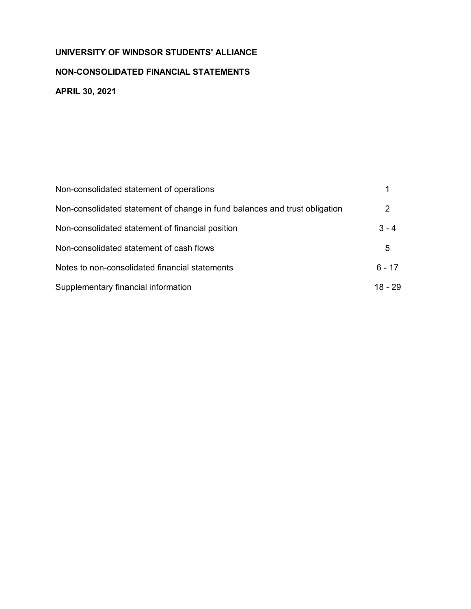# **NON-CONSOLIDATED FINANCIAL STATEMENTS**

**APRIL 30, 2021**

| Non-consolidated statement of operations                                   |          |
|----------------------------------------------------------------------------|----------|
| Non-consolidated statement of change in fund balances and trust obligation | 2        |
| Non-consolidated statement of financial position                           | $3 - 4$  |
| Non-consolidated statement of cash flows                                   | 5        |
| Notes to non-consolidated financial statements                             | $6 - 17$ |
| Supplementary financial information                                        | 18 - 29  |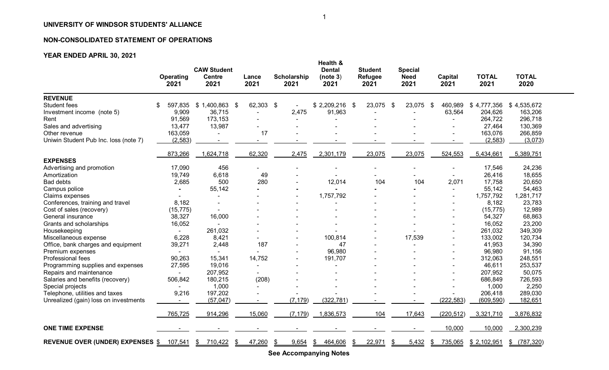# **NON-CONSOLIDATED STATEMENT OF OPERATIONS**

# **YEAR ENDED APRIL 30, 2021**

|                                         | <b>Operating</b><br>2021 | <b>CAW Student</b><br><b>Centre</b><br>2021 | Lance<br>2021 | <b>Scholarship</b><br>2021 | Health &<br><b>Dental</b><br>(note 3)<br>2021 | <b>Student</b><br><b>Refugee</b><br>2021 | <b>Special</b><br><b>Need</b><br>2021 | <b>Capital</b><br>2021 | <b>TOTAL</b><br>2021 | <b>TOTAL</b><br>2020 |
|-----------------------------------------|--------------------------|---------------------------------------------|---------------|----------------------------|-----------------------------------------------|------------------------------------------|---------------------------------------|------------------------|----------------------|----------------------|
| <b>REVENUE</b>                          |                          |                                             |               |                            |                                               |                                          |                                       |                        |                      |                      |
| Student fees                            | \$<br>597,835            | $$1,400,863$ \$                             | 62,303        | \$                         | \$2,209,216                                   | 23,075<br>- \$                           | 23,075<br>- \$                        | \$<br>460,989          | \$4,777,356          | \$4,535,672          |
| Investment income (note 5)              | 9,909                    | 36,715                                      |               | 2,475                      | 91,963                                        |                                          |                                       | 63,564                 | 204,626              | 163,206              |
| Rent                                    | 91,569                   | 173,153                                     |               |                            |                                               |                                          |                                       |                        | 264,722              | 296,718              |
| Sales and advertising                   | 13,477                   | 13,987                                      |               |                            |                                               |                                          |                                       |                        | 27,464               | 130,369              |
| Other revenue                           | 163,059                  |                                             | 17            |                            |                                               |                                          |                                       |                        | 163,076              | 266,859              |
| Uniwin Student Pub Inc. loss (note 7)   | (2, 583)                 |                                             |               |                            |                                               |                                          |                                       |                        | (2, 583)             | (3,073)              |
|                                         | 873,266                  | 1,624,718                                   | 62,320        | 2,475                      | 2,301,179                                     | 23,075                                   | 23,075                                | 524,553                | 5,434,661            | 5,389,751            |
| <b>EXPENSES</b>                         |                          |                                             |               |                            |                                               |                                          |                                       |                        |                      |                      |
| Advertising and promotion               | 17,090                   | 456                                         |               |                            |                                               |                                          |                                       |                        | 17,546               | 24,236               |
| Amortization                            | 19,749                   | 6,618                                       | 49            |                            |                                               |                                          |                                       |                        | 26,416               | 18,655               |
| <b>Bad debts</b>                        | 2,685                    | 500                                         | 280           |                            | 12,014                                        | 104                                      | 104                                   | 2,071                  | 17,758               | 20,650               |
| Campus police                           |                          | 55,142                                      |               |                            |                                               |                                          |                                       |                        | 55,142               | 54,463               |
| Claims expenses                         |                          |                                             |               |                            | 1,757,792                                     |                                          |                                       |                        | 1,757,792            | 1,281,717            |
| Conferences, training and travel        | 8,182                    |                                             |               |                            |                                               |                                          |                                       |                        | 8,182                | 23,783               |
| Cost of sales (recovery)                | (15, 775)                |                                             |               |                            |                                               |                                          |                                       |                        | (15, 775)            | 12,989               |
| General insurance                       | 38,327                   | 16,000                                      |               |                            |                                               |                                          |                                       |                        | 54,327               | 68,863               |
| Grants and scholarships                 | 16,052                   |                                             |               |                            |                                               |                                          |                                       |                        | 16,052               | 23,200               |
| Housekeeping                            |                          | 261,032                                     |               |                            |                                               |                                          |                                       |                        | 261,032              | 349,309              |
| Miscellaneous expense                   | 6,228                    | 8,421                                       |               |                            | 100,814                                       |                                          | 17,539                                |                        | 133,002              | 120,734              |
| Office, bank charges and equipment      | 39,271                   | 2,448                                       | 187           |                            | 47                                            |                                          |                                       |                        | 41,953               | 34,390               |
| Premium expenses                        |                          |                                             |               |                            | 96,980                                        |                                          |                                       |                        | 96,980               | 91,156               |
| Professional fees                       | 90,263                   | 15,341                                      | 14,752        |                            | 191,707                                       |                                          |                                       |                        | 312,063              | 248,551              |
| Programming supplies and expenses       | 27,595                   | 19,016                                      |               |                            |                                               |                                          |                                       |                        | 46,611               | 253,537              |
| Repairs and maintenance                 |                          | 207,952                                     |               |                            |                                               |                                          |                                       |                        | 207,952              | 50,075               |
| Salaries and benefits (recovery)        | 506,842                  | 180,215                                     | (208)         |                            |                                               |                                          |                                       |                        | 686,849              | 726,593              |
| Special projects                        |                          | 1,000                                       |               |                            |                                               |                                          |                                       |                        | 1,000                | 2,250                |
| Telephone, utilities and taxes          | 9,216                    | 197,202                                     |               |                            |                                               |                                          |                                       |                        | 206,418              | 289,030              |
| Unrealized (gain) loss on investments   |                          | (57, 047)                                   |               | (7, 179)                   | (322, 781)                                    |                                          |                                       | (222, 583)             | (609, 590)           | 182,651              |
|                                         | 765,725                  | 914,296                                     | 15,060        | (7, 179)                   | 1,836,573                                     | 104                                      | 17,643                                | (220, 512)             | 3,321,710            | 3,876,832            |
| <b>ONE TIME EXPENSE</b>                 |                          |                                             |               |                            |                                               |                                          |                                       | 10,000                 | 10,000               | 2,300,239            |
| <b>REVENUE OVER (UNDER) EXPENSES \$</b> | 107,541                  | \$<br>710,422<br>ß.                         | 47,260        | 9,654<br>\$                | 464,606<br>\$                                 | 22,971<br>S                              | 5,432<br>S                            | 735,065<br>S           | \$2,102,951          | (787, 320)<br>\$     |

**See Accompanying Notes**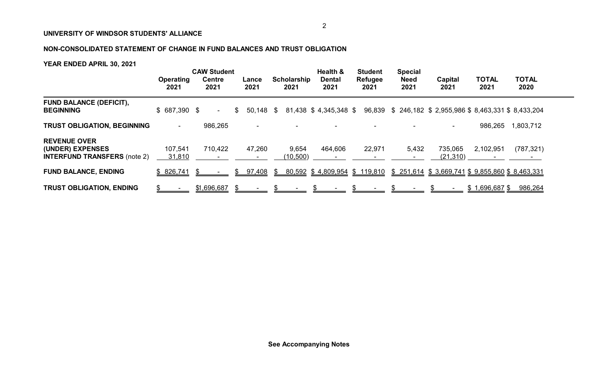# **NON-CONSOLIDATED STATEMENT OF CHANGE IN FUND BALANCES AND TRUST OBLIGATION**

|                                                                                | Operating         | <b>CAW Student</b><br><b>Centre</b> | Lance             | Scholarship        | Health &<br><b>Dental</b>    | <b>Student</b><br>Refugee | <b>Special</b><br><b>Need</b> | Capital                                                  | <b>TOTAL</b>              | <b>TOTAL</b> |  |
|--------------------------------------------------------------------------------|-------------------|-------------------------------------|-------------------|--------------------|------------------------------|---------------------------|-------------------------------|----------------------------------------------------------|---------------------------|--------------|--|
|                                                                                | 2021              | 2021                                | 2021              | 2021               | 2021                         | 2021                      | 2021                          | 2021                                                     | 2021                      | 2020         |  |
| <b>FUND BALANCE (DEFICIT),</b><br><b>BEGINNING</b>                             | $$687,390$ \$     | $\sim$                              | \$<br>$50,148$ \$ |                    | 81,438 \$4,345,348 \$        |                           |                               | 96,839 \$ 246,182 \$ 2,955,986 \$ 8,463,331 \$ 8,433,204 |                           |              |  |
| <b>TRUST OBLIGATION, BEGINNING</b>                                             | $\sim$            | 986,265                             | ۰                 |                    |                              |                           |                               |                                                          | 986,265                   | ,803,712     |  |
| <b>REVENUE OVER</b><br>(UNDER) EXPENSES<br><b>INTERFUND TRANSFERS (note 2)</b> | 107,541<br>31,810 | 710.422                             | 47,260            | 9,654<br>(10, 500) | 464,606                      | 22,971                    | 5,432                         | 735,065<br>(21, 310)                                     | 2,102,951                 | (787, 321)   |  |
| <b>FUND BALANCE, ENDING</b>                                                    | \$826,741         |                                     | 97,408            | \$                 | 80,592 \$4,809,954 \$119,810 |                           |                               | $$251,614$ $$3,669,741$ $$9,855,860$ $$8,463,331$        |                           |              |  |
| <b>TRUST OBLIGATION, ENDING</b>                                                |                   | \$1,696,687                         |                   |                    |                              |                           |                               |                                                          | <u>\$ 696,687.</u><br>\$1 | 986,264      |  |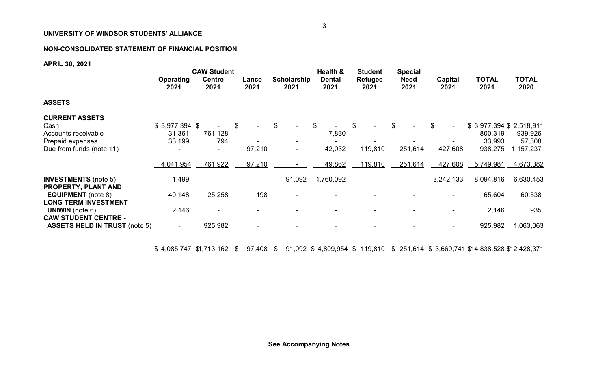# **NON-CONSOLIDATED STATEMENT OF FINANCIAL POSITION**

# **APRIL 30, 2021**

|                                                          |                          | <b>CAW Student</b>    |                | Health &<br><b>Special</b><br><b>Student</b> |                       |                        |                     |                 |                         |                      |
|----------------------------------------------------------|--------------------------|-----------------------|----------------|----------------------------------------------|-----------------------|------------------------|---------------------|-----------------|-------------------------|----------------------|
|                                                          | <b>Operating</b><br>2021 | <b>Centre</b><br>2021 | Lance<br>2021  | <b>Scholarship</b><br>2021                   | <b>Dental</b><br>2021 | <b>Refugee</b><br>2021 | <b>Need</b><br>2021 | Capital<br>2021 | <b>TOTAL</b><br>2021    | <b>TOTAL</b><br>2020 |
| <b>ASSETS</b>                                            |                          |                       |                |                                              |                       |                        |                     |                 |                         |                      |
| <b>CURRENT ASSETS</b>                                    |                          |                       |                |                                              |                       |                        |                     |                 |                         |                      |
| Cash                                                     | $$3,977,394$ \$          |                       | \$             | \$                                           | \$                    | \$                     | \$                  | S.              | \$3,977,394 \$2,518,911 |                      |
| Accounts receivable                                      | 31,361                   | 761,128               |                |                                              | 7,830                 |                        |                     |                 | 800,319                 | 939,926              |
| Prepaid expenses                                         | 33,199                   | 794                   |                |                                              |                       |                        |                     |                 | 33,993                  | 57,308               |
| Due from funds (note 11)                                 |                          |                       | 97,210         |                                              | 42,032                | 119,810                | 251,614             | 427,608         | 938,275                 | 1,157,237            |
|                                                          | 4,041,954                | 761,922               | 97,210         |                                              | 49,862                | 119,810                | 251,614             | 427,608         | 5,749,981               | <u>4,673,382</u>     |
| <b>INVESTMENTS</b> (note 5)<br>PROPERTY, PLANT AND       | 1,499                    | $\sim$                | $\blacksquare$ | 91,092                                       | 4,760,092             |                        | $\sim$              | 3,242,133       | 8,094,816               | 6,630,453            |
| <b>EQUIPMENT</b> (note 8)<br><b>LONG TERM INVESTMENT</b> | 40,148                   | 25,258                | 198            |                                              |                       |                        |                     |                 | 65,604                  | 60,538               |
| <b>UNIWIN</b> (note $6$ )<br><b>CAW STUDENT CENTRE -</b> | 2,146                    |                       |                |                                              |                       |                        |                     |                 | 2,146                   | 935                  |
| <b>ASSETS HELD IN TRUST (note 5)</b>                     |                          | 925,982               |                |                                              |                       |                        |                     |                 | 925,982                 | 1,063,063            |

<u>\$ 4,085,747 \$1,713,162 \$ 97,408 \$ 91,092 \$ 4,809,954 \$ 119,810 \$ 251,614 \$ 3,669,741 \$14,838,528 \$12,428,371</u>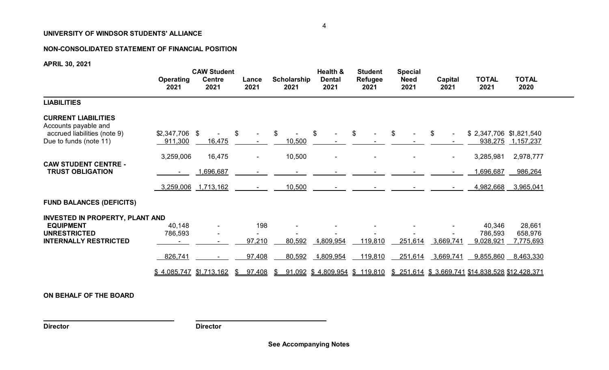# **NON-CONSOLIDATED STATEMENT OF FINANCIAL POSITION**

**APRIL 30, 2021**

|                                                                                                              | <b>Operating</b><br>2021             | <b>CAW Student</b><br><b>Centre</b><br>2021 | Lance<br>2021                      | <b>Scholarship</b><br>2021 | Health &<br><b>Dental</b><br>2021                | <b>Student</b><br><b>Refugee</b><br>2021 | <b>Special</b><br><b>Need</b><br>2021 | Capital<br>2021                  | <b>TOTAL</b><br>2021                                         | <b>TOTAL</b><br>2020           |
|--------------------------------------------------------------------------------------------------------------|--------------------------------------|---------------------------------------------|------------------------------------|----------------------------|--------------------------------------------------|------------------------------------------|---------------------------------------|----------------------------------|--------------------------------------------------------------|--------------------------------|
| <b>LIABILITIES</b>                                                                                           |                                      |                                             |                                    |                            |                                                  |                                          |                                       |                                  |                                                              |                                |
| <b>CURRENT LIABILITIES</b><br>Accounts payable and<br>accrued liabilities (note 9)<br>Due to funds (note 11) | $$2,347,706$ \$<br>911,300           | 16,475                                      | \$                                 | \$<br>10,500               | $\mathfrak{P}$                                   | \$                                       | $\mathfrak{L}$                        | $\mathfrak{L}$<br>$\blacksquare$ | $$2,347,706$ $$1,821,540$                                    | 938,275 1,157,237              |
| <b>CAW STUDENT CENTRE -</b><br><b>TRUST OBLIGATION</b>                                                       | 3,259,006                            | 16,475<br>1,696,687                         | $\blacksquare$                     | 10,500                     |                                                  |                                          |                                       | $\blacksquare$                   | 3,285,981<br>,696,687                                        | 2,978,777<br>986,264           |
| <b>FUND BALANCES (DEFICITS)</b>                                                                              | 3,259,006                            | 1,713,162                                   |                                    | 10,500                     |                                                  |                                          |                                       |                                  | 4,982,668                                                    | 3,965,041                      |
| INVESTED IN PROPERTY, PLANT AND<br><b>EQUIPMENT</b><br><b>UNRESTRICTED</b><br><b>INTERNALLY RESTRICTED</b>   | 40,148<br>786,593                    |                                             | 198<br>97,210                      | 80,592                     | 1,809,954                                        | 119,810                                  | 251,614                               | 3,669,741                        | 40,346<br>786,593<br>9,028,921                               | 28,661<br>658,976<br>7,775,693 |
|                                                                                                              | 826,741<br>$$4,085,747$ $$1,713,162$ |                                             | 97,408<br>97,408<br>$\mathfrak{L}$ | 80,592<br>S.               | 1,809,954<br><u>91,092 \$4,809,954 \$119,810</u> | 119,810                                  | 251,614                               | 3,669,741                        | 9,855,860<br>\$251,614 \$3,669,741 \$14,838,528 \$12,428,371 | 8,463,330                      |

**ON BEHALF OF THE BOARD**

**Director Director**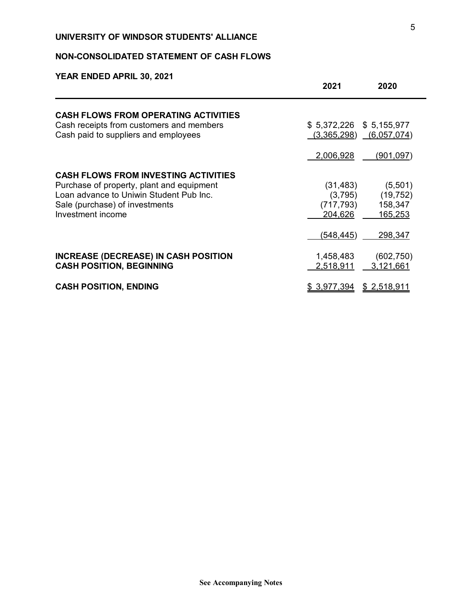# **NON-CONSOLIDATED STATEMENT OF CASH FLOWS**

|                                                                                                                                                                                            | 2021<br>2020                                                                                                         |
|--------------------------------------------------------------------------------------------------------------------------------------------------------------------------------------------|----------------------------------------------------------------------------------------------------------------------|
| <b>CASH FLOWS FROM OPERATING ACTIVITIES</b><br>Cash receipts from customers and members<br>Cash paid to suppliers and employees                                                            | $$5,372,226$ $$5,155,977$<br>(3,365,298)<br>(6,057,074)                                                              |
|                                                                                                                                                                                            | 2,006,928<br>(901,097)                                                                                               |
| <b>CASH FLOWS FROM INVESTING ACTIVITIES</b><br>Purchase of property, plant and equipment<br>Loan advance to Uniwin Student Pub Inc.<br>Sale (purchase) of investments<br>Investment income | (31, 483)<br>(5,501)<br>(19, 752)<br>(3,795)<br>158,347<br>(717, 793)<br>165,253<br>204,626<br>(548, 445)<br>298,347 |
| <b>INCREASE (DECREASE) IN CASH POSITION</b><br><b>CASH POSITION, BEGINNING</b>                                                                                                             | (602, 750)<br>1,458,483<br>3,121,661<br>2,518,911                                                                    |
| <b>CASH POSITION, ENDING</b>                                                                                                                                                               | \$ 3,977,394<br><u>\$2,518,911</u>                                                                                   |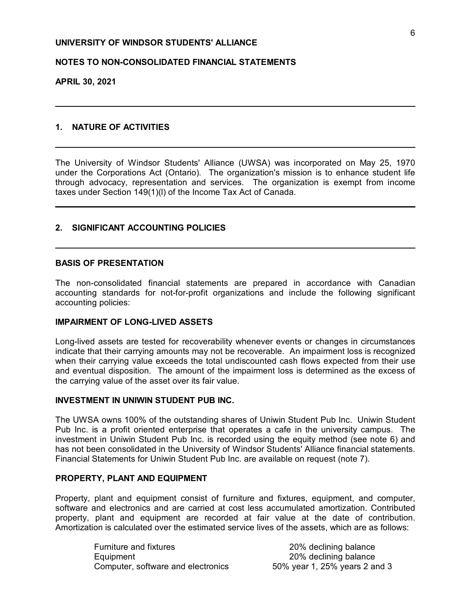## **NOTES TO NON-CONSOLIDATED FINANCIAL STATEMENTS**

**APRIL 30, 2021**

# **1. NATURE OF ACTIVITIES**

The University of Windsor Students' Alliance (UWSA) was incorporated on May 25, 1970 under the Corporations Act (Ontario). The organization's mission is to enhance student life through advocacy, representation and services. The organization is exempt from income taxes under Section 149(1)(l) of the Income Tax Act of Canada.

## **2. SIGNIFICANT ACCOUNTING POLICIES**

## **BASIS OF PRESENTATION**

The non-consolidated financial statements are prepared in accordance with Canadian accounting standards for not-for-profit organizations and include the following significant accounting policies:

## **IMPAIRMENT OF LONG-LIVED ASSETS**

Long-lived assets are tested for recoverability whenever events or changes in circumstances indicate that their carrying amounts may not be recoverable. An impairment loss is recognized when their carrying value exceeds the total undiscounted cash flows expected from their use and eventual disposition. The amount of the impairment loss is determined as the excess of the carrying value of the asset over its fair value.

## **INVESTMENT IN UNIWIN STUDENT PUB INC.**

The UWSA owns 100% of the outstanding shares of Uniwin Student Pub Inc. Uniwin Student Pub Inc. is a profit oriented enterprise that operates a cafe in the university campus. The investment in Uniwin Student Pub Inc. is recorded using the equity method (see note 6) and has not been consolidated in the University of Windsor Students' Alliance financial statements. Financial Statements for Uniwin Student Pub Inc. are available on request (note 7).

## **PROPERTY, PLANT AND EQUIPMENT**

Property, plant and equipment consist of furniture and fixtures, equipment, and computer, software and electronics and are carried at cost less accumulated amortization. Contributed property, plant and equipment are recorded at fair value at the date of contribution. Amortization is calculated over the estimated service lives of the assets, which are as follows:

> Furniture and fixtures **20%** declining balance Equipment 20% declining balance Computer, software and electronics 50% year 1, 25% years 2 and 3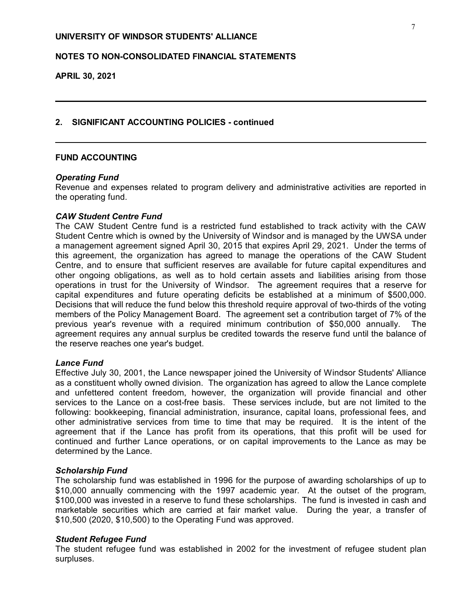# **NOTES TO NON-CONSOLIDATED FINANCIAL STATEMENTS**

**APRIL 30, 2021**

## **2. SIGNIFICANT ACCOUNTING POLICIES - continued**

## **FUND ACCOUNTING**

## *Operating Fund*

Revenue and expenses related to program delivery and administrative activities are reported in the operating fund.

## *CAW Student Centre Fund*

The CAW Student Centre fund is a restricted fund established to track activity with the CAW Student Centre which is owned by the University of Windsor and is managed by the UWSA under a management agreement signed April 30, 2015 that expires April 29, 2021. Under the terms of this agreement, the organization has agreed to manage the operations of the CAW Student Centre, and to ensure that sufficient reserves are available for future capital expenditures and other ongoing obligations, as well as to hold certain assets and liabilities arising from those operations in trust for the University of Windsor. The agreement requires that a reserve for capital expenditures and future operating deficits be established at a minimum of \$500,000. Decisions that will reduce the fund below this threshold require approval of two-thirds of the voting members of the Policy Management Board. The agreement set a contribution target of 7% of the previous year's revenue with a required minimum contribution of \$50,000 annually. The agreement requires any annual surplus be credited towards the reserve fund until the balance of the reserve reaches one year's budget.

## *Lance Fund*

Effective July 30, 2001, the Lance newspaper joined the University of Windsor Students' Alliance as a constituent wholly owned division. The organization has agreed to allow the Lance complete and unfettered content freedom, however, the organization will provide financial and other services to the Lance on a cost-free basis. These services include, but are not limited to the following: bookkeeping, financial administration, insurance, capital loans, professional fees, and other administrative services from time to time that may be required. It is the intent of the agreement that if the Lance has profit from its operations, that this profit will be used for continued and further Lance operations, or on capital improvements to the Lance as may be determined by the Lance.

## *Scholarship Fund*

The scholarship fund was established in 1996 for the purpose of awarding scholarships of up to \$10,000 annually commencing with the 1997 academic year. At the outset of the program, \$100,000 was invested in a reserve to fund these scholarships. The fund is invested in cash and marketable securities which are carried at fair market value. During the year, a transfer of \$10,500 (2020, \$10,500) to the Operating Fund was approved.

## *Student Refugee Fund*

The student refugee fund was established in 2002 for the investment of refugee student plan surpluses.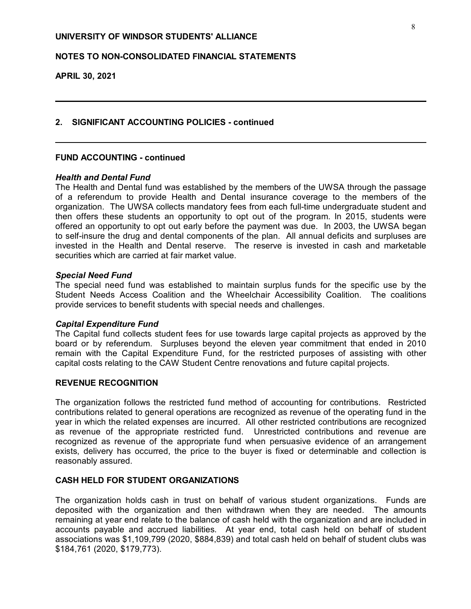# **NOTES TO NON-CONSOLIDATED FINANCIAL STATEMENTS**

**APRIL 30, 2021**

## **2. SIGNIFICANT ACCOUNTING POLICIES - continued**

## **FUND ACCOUNTING - continued**

## *Health and Dental Fund*

The Health and Dental fund was established by the members of the UWSA through the passage of a referendum to provide Health and Dental insurance coverage to the members of the organization. The UWSA collects mandatory fees from each full-time undergraduate student and then offers these students an opportunity to opt out of the program. In 2015, students were offered an opportunity to opt out early before the payment was due. In 2003, the UWSA began to self-insure the drug and dental components of the plan. All annual deficits and surpluses are invested in the Health and Dental reserve. The reserve is invested in cash and marketable securities which are carried at fair market value.

## *Special Need Fund*

The special need fund was established to maintain surplus funds for the specific use by the Student Needs Access Coalition and the Wheelchair Accessibility Coalition. The coalitions provide services to benefit students with special needs and challenges.

## *Capital Expenditure Fund*

The Capital fund collects student fees for use towards large capital projects as approved by the board or by referendum. Surpluses beyond the eleven year commitment that ended in 2010 remain with the Capital Expenditure Fund, for the restricted purposes of assisting with other capital costs relating to the CAW Student Centre renovations and future capital projects.

## **REVENUE RECOGNITION**

The organization follows the restricted fund method of accounting for contributions. Restricted contributions related to general operations are recognized as revenue of the operating fund in the year in which the related expenses are incurred. All other restricted contributions are recognized as revenue of the appropriate restricted fund. Unrestricted contributions and revenue are recognized as revenue of the appropriate fund when persuasive evidence of an arrangement exists, delivery has occurred, the price to the buyer is fixed or determinable and collection is reasonably assured.

## **CASH HELD FOR STUDENT ORGANIZATIONS**

The organization holds cash in trust on behalf of various student organizations. Funds are deposited with the organization and then withdrawn when they are needed. The amounts remaining at year end relate to the balance of cash held with the organization and are included in accounts payable and accrued liabilities. At year end, total cash held on behalf of student associations was \$1,109,799 (2020, \$884,839) and total cash held on behalf of student clubs was \$184,761 (2020, \$179,773).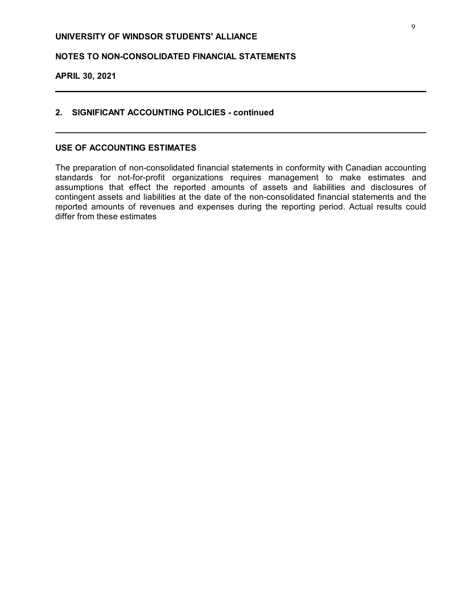# **NOTES TO NON-CONSOLIDATED FINANCIAL STATEMENTS**

# **APRIL 30, 2021**

## **2. SIGNIFICANT ACCOUNTING POLICIES - continued**

## **USE OF ACCOUNTING ESTIMATES**

The preparation of non-consolidated financial statements in conformity with Canadian accounting standards for not-for-profit organizations requires management to make estimates and assumptions that effect the reported amounts of assets and liabilities and disclosures of contingent assets and liabilities at the date of the non-consolidated financial statements and the reported amounts of revenues and expenses during the reporting period. Actual results could differ from these estimates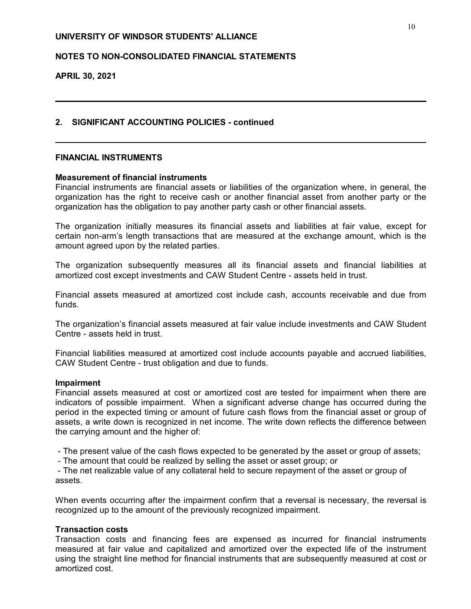# **NOTES TO NON-CONSOLIDATED FINANCIAL STATEMENTS**

**APRIL 30, 2021**

## **2. SIGNIFICANT ACCOUNTING POLICIES - continued**

## **FINANCIAL INSTRUMENTS**

## **Measurement of financial instruments**

Financial instruments are financial assets or liabilities of the organization where, in general, the organization has the right to receive cash or another financial asset from another party or the organization has the obligation to pay another party cash or other financial assets.

The organization initially measures its financial assets and liabilities at fair value, except for certain non-arm's length transactions that are measured at the exchange amount, which is the amount agreed upon by the related parties.

The organization subsequently measures all its financial assets and financial liabilities at amortized cost except investments and CAW Student Centre - assets held in trust.

Financial assets measured at amortized cost include cash, accounts receivable and due from funds.

The organization's financial assets measured at fair value include investments and CAW Student Centre - assets held in trust.

Financial liabilities measured at amortized cost include accounts payable and accrued liabilities, CAW Student Centre - trust obligation and due to funds.

## **Impairment**

Financial assets measured at cost or amortized cost are tested for impairment when there are indicators of possible impairment. When a significant adverse change has occurred during the period in the expected timing or amount of future cash flows from the financial asset or group of assets, a write down is recognized in net income. The write down reflects the difference between the carrying amount and the higher of:

- The present value of the cash flows expected to be generated by the asset or group of assets;

- The amount that could be realized by selling the asset or asset group; or

 - The net realizable value of any collateral held to secure repayment of the asset or group of assets.

When events occurring after the impairment confirm that a reversal is necessary, the reversal is recognized up to the amount of the previously recognized impairment.

## **Transaction costs**

Transaction costs and financing fees are expensed as incurred for financial instruments measured at fair value and capitalized and amortized over the expected life of the instrument using the straight line method for financial instruments that are subsequently measured at cost or amortized cost.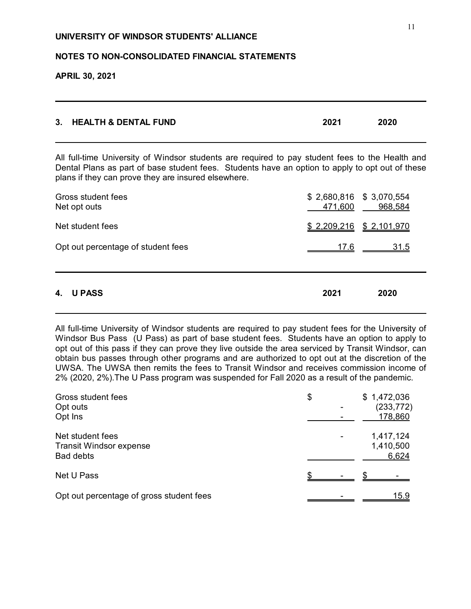# **NOTES TO NON-CONSOLIDATED FINANCIAL STATEMENTS**

# **APRIL 30, 2021**

| 3. HEALTH & DENTAL FUND | 2021 | 2020 |
|-------------------------|------|------|
|                         |      |      |

All full-time University of Windsor students are required to pay student fees to the Health and Dental Plans as part of base student fees. Students have an option to apply to opt out of these plans if they can prove they are insured elsewhere.

| Opt out percentage of student fees | 17.6 | <u>31.5</u> |
|------------------------------------|------|-------------|
| 4.<br><b>U PASS</b>                | 2021 | 2020        |

All full-time University of Windsor students are required to pay student fees for the University of Windsor Bus Pass (U Pass) as part of base student fees. Students have an option to apply to opt out of this pass if they can prove they live outside the area serviced by Transit Windsor, can obtain bus passes through other programs and are authorized to opt out at the discretion of the UWSA. The UWSA then remits the fees to Transit Windsor and receives commission income of 2% (2020, 2%).The U Pass program was suspended for Fall 2020 as a result of the pandemic.

| Gross student fees<br>Opt outs<br>Opt Ins                              | \$ |  | \$1,472,036            | (233, 772)<br>178,860 |  |
|------------------------------------------------------------------------|----|--|------------------------|-----------------------|--|
| Net student fees<br><b>Transit Windsor expense</b><br><b>Bad debts</b> |    |  | 1,417,124<br>1,410,500 | 6,624                 |  |
| Net U Pass                                                             |    |  |                        |                       |  |
| Opt out percentage of gross student fees                               |    |  |                        | 15.9                  |  |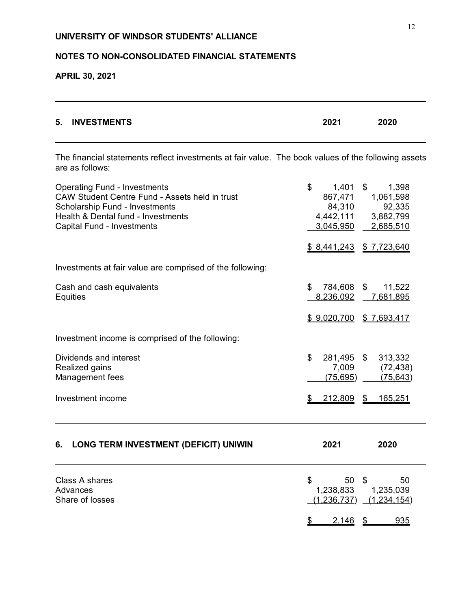# **NOTES TO NON-CONSOLIDATED FINANCIAL STATEMENTS**

**APRIL 30, 2021**

| 5.<br><b>INVESTMENTS</b>                                                                                                                                                                                  | 2021                                                            | 2020                                                                                   |
|-----------------------------------------------------------------------------------------------------------------------------------------------------------------------------------------------------------|-----------------------------------------------------------------|----------------------------------------------------------------------------------------|
| The financial statements reflect investments at fair value. The book values of the following assets<br>are as follows:                                                                                    |                                                                 |                                                                                        |
| <b>Operating Fund - Investments</b><br>CAW Student Centre Fund - Assets held in trust<br><b>Scholarship Fund - Investments</b><br>Health & Dental fund - Investments<br><b>Capital Fund - Investments</b> | \$<br>$1,401$ \$<br>867,471<br>84,310<br>4,442,111<br>3,045,950 | 1,398<br>1,061,598<br>92,335<br>3,882,799<br>$-2,685,510$<br>$$8,441,243$ $$7,723,640$ |
| Investments at fair value are comprised of the following:                                                                                                                                                 |                                                                 |                                                                                        |
| Cash and cash equivalents<br><b>Equities</b>                                                                                                                                                              | \$<br>784,608<br>8,236,092                                      | \$<br>11,522<br>7,681,895                                                              |
|                                                                                                                                                                                                           |                                                                 | $$9,020,700$ $$7,693,417$                                                              |
| Investment income is comprised of the following:                                                                                                                                                          |                                                                 |                                                                                        |
| Dividends and interest<br>Realized gains<br>Management fees                                                                                                                                               | \$<br>281,495 \$<br>7,009<br>(75, 695)                          | 313,332<br>(72, 438)<br>(75, 643)                                                      |
| Investment income                                                                                                                                                                                         | 212,809                                                         | \$<br>165,251                                                                          |
| <b>LONG TERM INVESTMENT (DEFICIT) UNIWIN</b><br>6.                                                                                                                                                        | 2021                                                            | 2020                                                                                   |
| <b>Class A shares</b><br><b>Advances</b><br>Share of losses                                                                                                                                               | 50<br>\$<br>1,238,833<br>(1, 236, 737)                          | \$<br>50<br>1,235,039<br>(1,234,154)                                                   |
|                                                                                                                                                                                                           | 2,146                                                           | 935<br>\$                                                                              |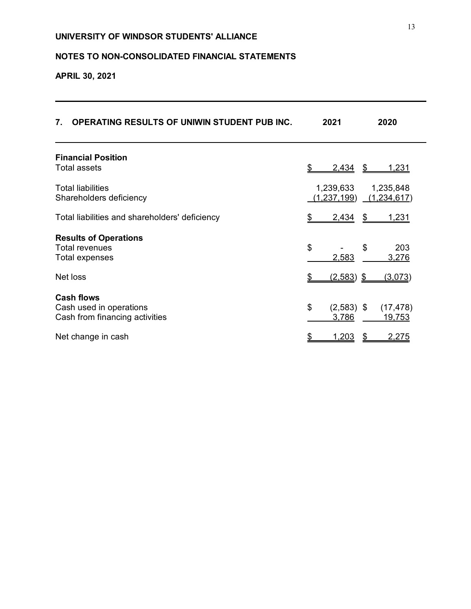# **NOTES TO NON-CONSOLIDATED FINANCIAL STATEMENTS**

**APRIL 30, 2021**

| <b>OPERATING RESULTS OF UNIWIN STUDENT PUB INC.</b><br>7.                      | 2021                            | 2020                         |
|--------------------------------------------------------------------------------|---------------------------------|------------------------------|
| <b>Financial Position</b><br><b>Total assets</b>                               | \$<br>2,434<br>\$               | <u>1,231</u>                 |
| <b>Total liabilities</b><br>Shareholders deficiency                            | 1,239,633<br><u>(1,237,199)</u> | 1,235,848<br>(1,234,617)     |
| Total liabilities and shareholders' deficiency                                 | 2,434<br>\$<br>S                | 1,231                        |
| <b>Results of Operations</b><br>Total revenues<br>Total expenses               | \$<br>\$<br>2,583               | 203<br>3,276                 |
| Net loss                                                                       | $(2,583)$ \$                    | <u>(3,073)</u>               |
| <b>Cash flows</b><br>Cash used in operations<br>Cash from financing activities | \$<br>$(2,583)$ \$<br>3,786     | (17, 478)<br><u> 19,753 </u> |
| Net change in cash                                                             | <u>1,203</u>                    | <u>2,275</u>                 |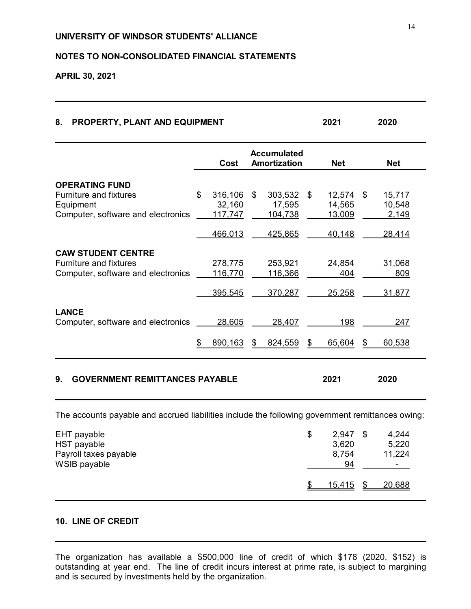# **NOTES TO NON-CONSOLIDATED FINANCIAL STATEMENTS**

**APRIL 30, 2021**

| 8. PROPERTY, PLANT AND EQUIPMENT | 2021 | 2020 |  |
|----------------------------------|------|------|--|
|                                  |      |      |  |

|                                             |    | Cost    | <b>Accumulated</b><br><b>Amortization</b> |                 | <b>Net</b> | <b>Net</b>    |              |
|---------------------------------------------|----|---------|-------------------------------------------|-----------------|------------|---------------|--------------|
| <b>OPERATING FUND</b>                       |    |         |                                           |                 |            |               |              |
| <b>Furniture and fixtures</b>               | \$ | 316,106 | \$                                        | 303,532         | \$         | 12,574        | \$<br>15,717 |
| Equipment                                   |    | 32,160  |                                           | 17,595          |            | 14,565        | 10,548       |
| Computer, software and electronics          |    | 117,747 |                                           | <u>104,738</u>  |            | <u>13,009</u> | 2,149        |
|                                             |    | 466,013 |                                           | 425,865         |            | 40,148        | 28,414       |
| <b>CAW STUDENT CENTRE</b>                   |    |         |                                           |                 |            |               |              |
| <b>Furniture and fixtures</b>               |    | 278,775 |                                           | 253,921         |            | 24,854        | 31,068       |
| Computer, software and electronics          |    | 116,770 |                                           | <u> 116,366</u> |            | 404           | 809          |
|                                             |    | 395,545 |                                           | 370,287         |            | 25,258        | 31,877       |
| <b>LANCE</b>                                |    |         |                                           |                 |            |               |              |
| Computer, software and electronics          |    | 28,605  |                                           | 28,407          |            | 198           | 247          |
|                                             | S  | 890,163 | \$                                        | 824,559         | \$         | 65,604        | \$<br>60,538 |
| <b>GOVERNMENT REMITTANCES PAYABLE</b><br>9. |    |         |                                           |                 |            | 2021          | 2020         |

| EHT payable<br>HST payable<br>Payroll taxes payable<br>WSIB payable | \$<br>2,947<br>3,620<br>8,754<br>94 |     | 4,244<br>5,220<br>11,224<br>$\sim$ |
|---------------------------------------------------------------------|-------------------------------------|-----|------------------------------------|
|                                                                     | 15,415                              | \$. | 20,688                             |

# **10. LINE OF CREDIT**

The organization has available a \$500,000 line of credit of which \$178 (2020, \$152) is outstanding at year end. The line of credit incurs interest at prime rate, is subject to margining and is secured by investments held by the organization.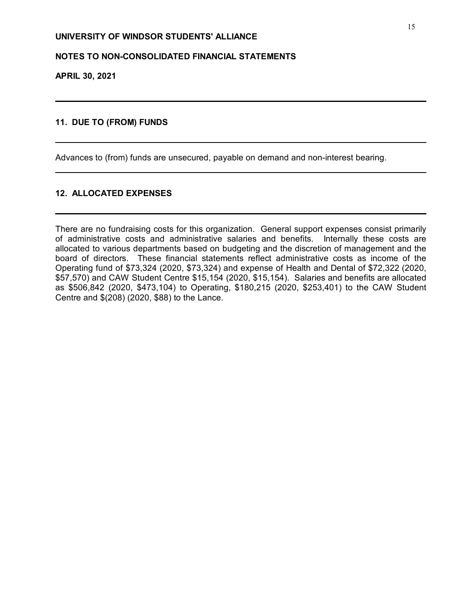# **NOTES TO NON-CONSOLIDATED FINANCIAL STATEMENTS**

**APRIL 30, 2021**

# **11. DUE TO (FROM) FUNDS**

Advances to (from) funds are unsecured, payable on demand and non-interest bearing.

## **12. ALLOCATED EXPENSES**

There are no fundraising costs for this organization. General support expenses consist primarily of administrative costs and administrative salaries and benefits. Internally these costs are allocated to various departments based on budgeting and the discretion of management and the board of directors. These financial statements reflect administrative costs as income of the Operating fund of \$73,324 (2020, \$73,324) and expense of Health and Dental of \$72,322 (2020, \$57,570) and CAW Student Centre \$15,154 (2020, \$15,154). Salaries and benefits are allocated as \$506,842 (2020, \$473,104) to Operating, \$180,215 (2020, \$253,401) to the CAW Student Centre and \$(208) (2020, \$88) to the Lance.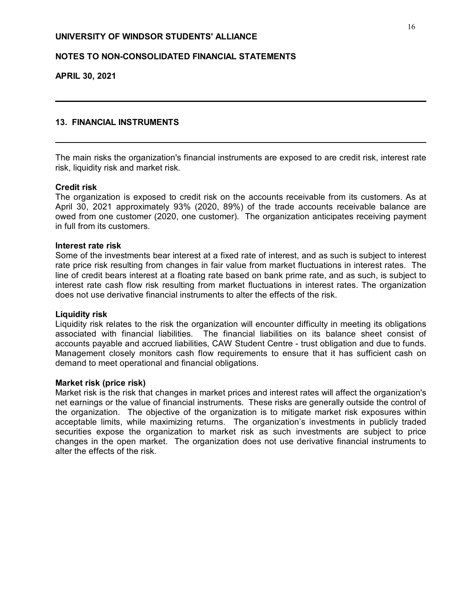# **NOTES TO NON-CONSOLIDATED FINANCIAL STATEMENTS**

**APRIL 30, 2021**

## **13. FINANCIAL INSTRUMENTS**

The main risks the organization's financial instruments are exposed to are credit risk, interest rate risk, liquidity risk and market risk.

## **Credit risk**

The organization is exposed to credit risk on the accounts receivable from its customers. As at April 30, 2021 approximately 93% (2020, 89%) of the trade accounts receivable balance are owed from one customer (2020, one customer). The organization anticipates receiving payment in full from its customers.

## **Interest rate risk**

Some of the investments bear interest at a fixed rate of interest, and as such is subject to interest rate price risk resulting from changes in fair value from market fluctuations in interest rates. The line of credit bears interest at a floating rate based on bank prime rate, and as such, is subject to interest rate cash flow risk resulting from market fluctuations in interest rates. The organization does not use derivative financial instruments to alter the effects of the risk.

## **Liquidity risk**

Liquidity risk relates to the risk the organization will encounter difficulty in meeting its obligations associated with financial liabilities. The financial liabilities on its balance sheet consist of accounts payable and accrued liabilities, CAW Student Centre - trust obligation and due to funds. Management closely monitors cash flow requirements to ensure that it has sufficient cash on demand to meet operational and financial obligations.

## **Market risk (price risk)**

Market risk is the risk that changes in market prices and interest rates will affect the organization's net earnings or the value of financial instruments. These risks are generally outside the control of the organization. The objective of the organization is to mitigate market risk exposures within acceptable limits, while maximizing returns. The organization's investments in publicly traded securities expose the organization to market risk as such investments are subject to price changes in the open market. The organization does not use derivative financial instruments to alter the effects of the risk.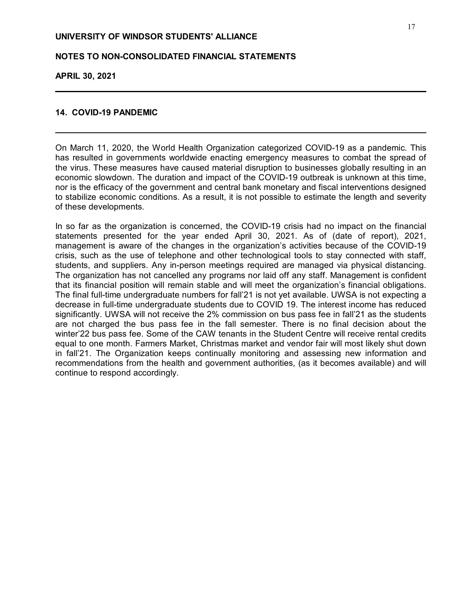# **NOTES TO NON-CONSOLIDATED FINANCIAL STATEMENTS**

**APRIL 30, 2021**

## **14. COVID-19 PANDEMIC**

On March 11, 2020, the World Health Organization categorized COVID-19 as a pandemic. This has resulted in governments worldwide enacting emergency measures to combat the spread of the virus. These measures have caused material disruption to businesses globally resulting in an economic slowdown. The duration and impact of the COVID-19 outbreak is unknown at this time, nor is the efficacy of the government and central bank monetary and fiscal interventions designed to stabilize economic conditions. As a result, it is not possible to estimate the length and severity of these developments.

In so far as the organization is concerned, the COVID-19 crisis had no impact on the financial statements presented for the year ended April 30, 2021. As of (date of report), 2021, management is aware of the changes in the organization's activities because of the COVID-19 crisis, such as the use of telephone and other technological tools to stay connected with staff, students, and suppliers. Any in-person meetings required are managed via physical distancing. The organization has not cancelled any programs nor laid off any staff. Management is confident that its financial position will remain stable and will meet the organization's financial obligations. The final full-time undergraduate numbers for fall'21 is not yet available. UWSA is not expecting a decrease in full-time undergraduate students due to COVID 19. The interest income has reduced significantly. UWSA will not receive the 2% commission on bus pass fee in fall'21 as the students are not charged the bus pass fee in the fall semester. There is no final decision about the winter'22 bus pass fee. Some of the CAW tenants in the Student Centre will receive rental credits equal to one month. Farmers Market, Christmas market and vendor fair will most likely shut down in fall'21. The Organization keeps continually monitoring and assessing new information and recommendations from the health and government authorities, (as it becomes available) and will continue to respond accordingly.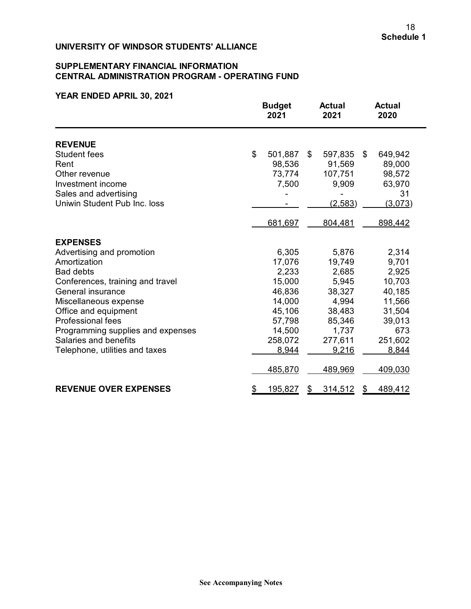## **SUPPLEMENTARY FINANCIAL INFORMATION CENTRAL ADMINISTRATION PROGRAM - OPERATING FUND**

|                                   |    | <b>Budget</b><br>2021 | <b>Actual</b><br>2021 |    | <b>Actual</b><br>2020 |  |
|-----------------------------------|----|-----------------------|-----------------------|----|-----------------------|--|
| <b>REVENUE</b>                    |    |                       |                       |    |                       |  |
| <b>Student fees</b>               | \$ | 501,887               | \$<br>597,835         | \$ | 649,942               |  |
| Rent                              |    | 98,536                | 91,569                |    | 89,000                |  |
| Other revenue                     |    | 73,774                | 107,751               |    | 98,572                |  |
| Investment income                 |    | 7,500                 | 9,909                 |    | 63,970                |  |
| Sales and advertising             |    |                       |                       |    | 31                    |  |
| Uniwin Student Pub Inc. loss      |    |                       | (2,583)               |    | (3,073)               |  |
|                                   |    | 681,697               | 804,481               |    | 898,442               |  |
| <b>EXPENSES</b>                   |    |                       |                       |    |                       |  |
| Advertising and promotion         |    | 6,305                 | 5,876                 |    | 2,314                 |  |
| Amortization                      |    | 17,076                | 19,749                |    | 9,701                 |  |
| <b>Bad debts</b>                  |    | 2,233                 | 2,685                 |    | 2,925                 |  |
| Conferences, training and travel  |    | 15,000                | 5,945                 |    | 10,703                |  |
| General insurance                 |    | 46,836                | 38,327                |    | 40,185                |  |
| Miscellaneous expense             |    | 14,000                | 4,994                 |    | 11,566                |  |
| Office and equipment              |    | 45,106                | 38,483                |    | 31,504                |  |
| <b>Professional fees</b>          |    | 57,798                | 85,346                |    | 39,013                |  |
| Programming supplies and expenses |    | 14,500                | 1,737                 |    | 673                   |  |
| Salaries and benefits             |    | 258,072               | 277,611               |    | 251,602               |  |
| Telephone, utilities and taxes    |    | 8,944                 | 9,216                 |    | 8,844                 |  |
|                                   |    | 485,870               | 489,969               |    | 409,030               |  |
| <b>REVENUE OVER EXPENSES</b>      | \$ | <u>195,827</u>        | \$<br>314,512         | \$ | 489,412               |  |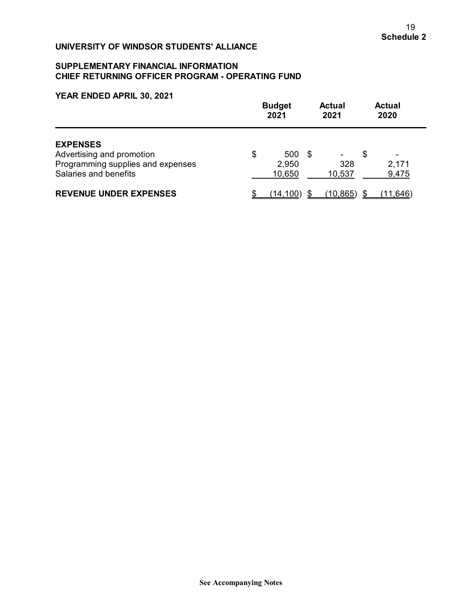## **SUPPLEMENTARY FINANCIAL INFORMATION CHIEF RETURNING OFFICER PROGRAM - OPERATING FUND**

|                                                                                                            | <b>Budget</b><br>2021 |                        |    | <b>Actual</b><br>2021 |    | <b>Actual</b><br>2020                      |  |  |
|------------------------------------------------------------------------------------------------------------|-----------------------|------------------------|----|-----------------------|----|--------------------------------------------|--|--|
| <b>EXPENSES</b><br>Advertising and promotion<br>Programming supplies and expenses<br>Salaries and benefits | \$                    | 500<br>2,950<br>10,650 | -S | ۰<br>328<br>10,537    | \$ | $\overline{\phantom{0}}$<br>2,171<br>9,475 |  |  |
| <b>REVENUE UNDER EXPENSES</b>                                                                              |                       | (14, 100)              |    | (10, 865)             |    | (11.646)                                   |  |  |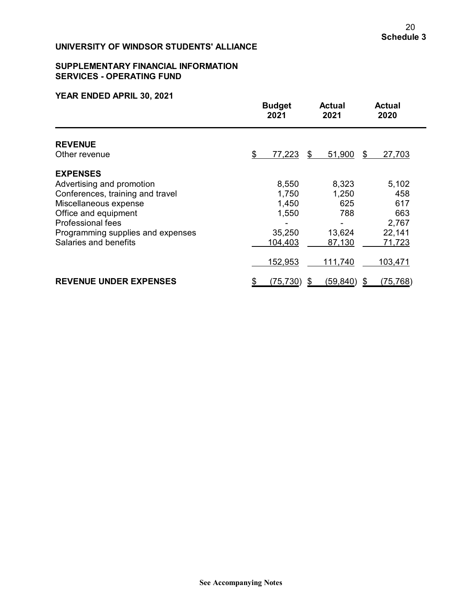## **SUPPLEMENTARY FINANCIAL INFORMATION SERVICES - OPERATING FUND**

|                                   | <b>Budget</b><br>2021 | <b>Actual</b><br>2021 | <b>Actual</b><br>2020 |
|-----------------------------------|-----------------------|-----------------------|-----------------------|
| <b>REVENUE</b><br>Other revenue   | \$<br><u>77,223</u>   | 51,900<br>\$          | 27,703<br>S           |
| <b>EXPENSES</b>                   |                       |                       |                       |
| Advertising and promotion         | 8,550                 | 8,323                 | 5,102                 |
| Conferences, training and travel  | 1,750                 | 1,250                 | 458                   |
| Miscellaneous expense             | 1,450                 | 625                   | 617                   |
| Office and equipment              | 1,550                 | 788                   | 663                   |
| <b>Professional fees</b>          |                       |                       | 2,767                 |
| Programming supplies and expenses | 35,250                | 13,624                | 22,141                |
| Salaries and benefits             | 104,403               | 87,130                | 71,723                |
|                                   | 152,953               | 111,740               | 103,471               |
| <b>REVENUE UNDER EXPENSES</b>     | (75, 730)<br>\$       | (59, 840)<br>\$       | (75, 768)             |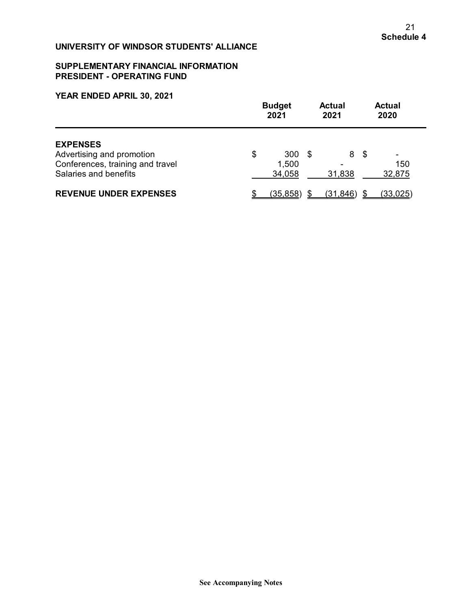## **SUPPLEMENTARY FINANCIAL INFORMATION PRESIDENT - OPERATING FUND**

|                                                                                                           | <b>Budget</b><br>2021 |                        |      | <b>Actual</b><br>2021 |     | <b>Actual</b><br>2020 |  |
|-----------------------------------------------------------------------------------------------------------|-----------------------|------------------------|------|-----------------------|-----|-----------------------|--|
| <b>EXPENSES</b><br>Advertising and promotion<br>Conferences, training and travel<br>Salaries and benefits | \$                    | 300<br>1,500<br>34,058 | - \$ | 8<br>31,838           | -\$ | ۰<br>150<br>32,875    |  |
| <b>REVENUE UNDER EXPENSES</b>                                                                             |                       | (35, 858)              |      | (31, 846)             |     | (33, 025)             |  |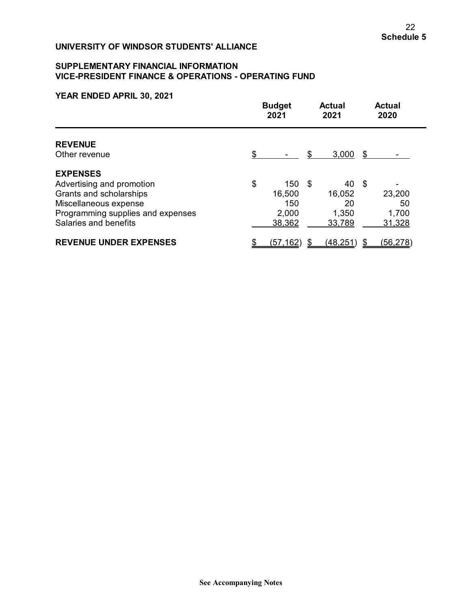## **SUPPLEMENTARY FINANCIAL INFORMATION VICE-PRESIDENT FINANCE & OPERATIONS - OPERATING FUND**

|                                   | <b>Budget</b><br>2021 |      | <b>Actual</b><br>2021 |      | <b>Actual</b><br>2020 |
|-----------------------------------|-----------------------|------|-----------------------|------|-----------------------|
| <b>REVENUE</b>                    |                       |      |                       |      |                       |
| Other revenue                     | \$                    | S    | 3,000                 | - SS |                       |
| <b>EXPENSES</b>                   |                       |      |                       |      |                       |
| Advertising and promotion         | \$<br>150             | - \$ | 40                    | - \$ |                       |
| Grants and scholarships           | 16,500                |      | 16,052                |      | 23,200                |
| Miscellaneous expense             | 150                   |      | 20                    |      | 50                    |
| Programming supplies and expenses | 2,000                 |      | 1,350                 |      | 1,700                 |
| Salaries and benefits             | 38,362                |      | 33,789                |      | 31,328                |
| <b>REVENUE UNDER EXPENSES</b>     | (57,162)              |      | (48, 251)             |      | (56, 278)             |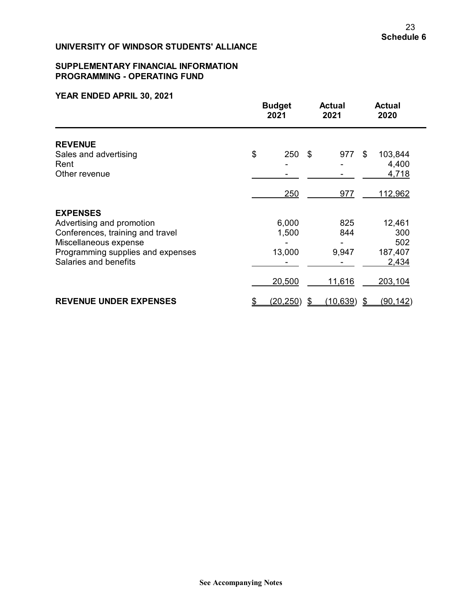## **SUPPLEMENTARY FINANCIAL INFORMATION PROGRAMMING - OPERATING FUND**

|                                   |    | <b>Budget</b><br>2021 |     | <b>Actual</b><br>2021 | <b>Actual</b><br>2020 |  |
|-----------------------------------|----|-----------------------|-----|-----------------------|-----------------------|--|
| <b>REVENUE</b>                    |    |                       |     |                       |                       |  |
| Sales and advertising             | \$ | 250                   | -\$ | 977                   | \$<br>103,844         |  |
| Rent                              |    |                       |     |                       | 4,400                 |  |
| Other revenue                     |    |                       |     |                       | 4,718                 |  |
|                                   |    | 250                   |     | 977                   | 112,962               |  |
| <b>EXPENSES</b>                   |    |                       |     |                       |                       |  |
| Advertising and promotion         |    | 6,000                 |     | 825                   | 12,461                |  |
| Conferences, training and travel  |    | 1,500                 |     | 844                   | 300                   |  |
| Miscellaneous expense             |    |                       |     |                       | 502                   |  |
| Programming supplies and expenses |    | 13,000                |     | 9,947                 | 187,407               |  |
| Salaries and benefits             |    |                       |     |                       | 2,434                 |  |
|                                   |    | 20,500                |     | <u>11,616</u>         | 203,104               |  |
| <b>REVENUE UNDER EXPENSES</b>     | \$ | (20, 250)             | \$  | (10, 639)             | \$<br>(90, 142)       |  |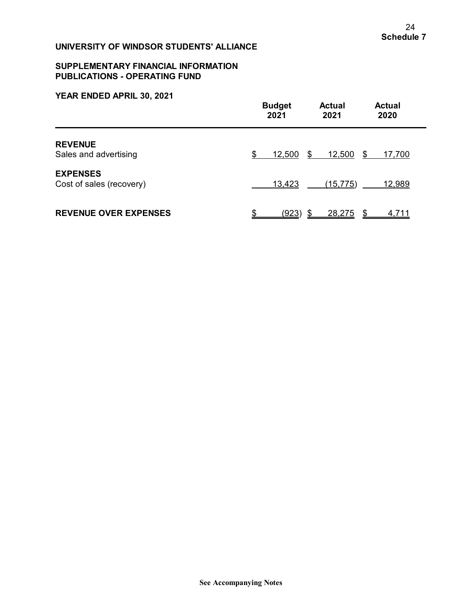## **SUPPLEMENTARY FINANCIAL INFORMATION PUBLICATIONS - OPERATING FUND**

|                                             | <b>Budget</b> | <b>Actual</b> | <b>Actual</b> |
|---------------------------------------------|---------------|---------------|---------------|
|                                             | 2021          | 2021          | 2020          |
| <b>REVENUE</b>                              | 12,500        | 12,500        | - \$          |
| Sales and advertising                       | S             | \$            | 17,700        |
| <b>EXPENSES</b><br>Cost of sales (recovery) | 13,423        | (15, 775)     | 12,989        |
| <b>REVENUE OVER EXPENSES</b>                | \$            | 28,275        | \$            |
|                                             | <u>(923)</u>  | \$            | <u>4,711</u>  |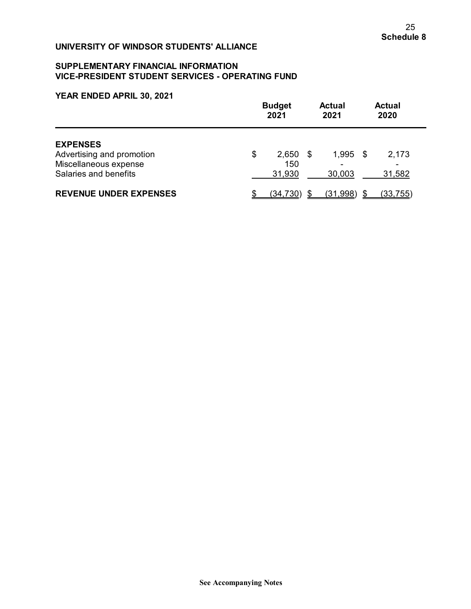## **SUPPLEMENTARY FINANCIAL INFORMATION VICE-PRESIDENT STUDENT SERVICES - OPERATING FUND**

|                                                                                                | <b>Budget</b><br>2021 |                        |      | <b>Actual</b><br>2021 |  | <b>Actual</b><br>2020 |  |  |
|------------------------------------------------------------------------------------------------|-----------------------|------------------------|------|-----------------------|--|-----------------------|--|--|
| <b>EXPENSES</b><br>Advertising and promotion<br>Miscellaneous expense<br>Salaries and benefits | \$                    | 2,650<br>150<br>31,930 | - \$ | $1,995$ \$<br>30,003  |  | 2,173<br>31,582       |  |  |
| <b>REVENUE UNDER EXPENSES</b>                                                                  |                       | (34, 730)              |      | (31,998)              |  | (33, 755)             |  |  |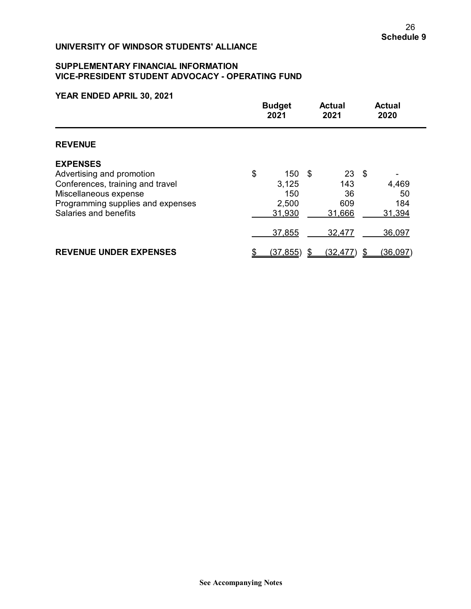## **SUPPLEMENTARY FINANCIAL INFORMATION VICE-PRESIDENT STUDENT ADVOCACY - OPERATING FUND**

|                                                                                                                                                                         |    | <b>Budget</b><br>2021                  |      | <b>Actual</b><br>2021                      | <b>Actual</b><br>2020 |                              |
|-------------------------------------------------------------------------------------------------------------------------------------------------------------------------|----|----------------------------------------|------|--------------------------------------------|-----------------------|------------------------------|
| <b>REVENUE</b>                                                                                                                                                          |    |                                        |      |                                            |                       |                              |
| <b>EXPENSES</b><br>Advertising and promotion<br>Conferences, training and travel<br>Miscellaneous expense<br>Programming supplies and expenses<br>Salaries and benefits | \$ | 150<br>3,125<br>150<br>2,500<br>31,930 | - \$ | $23 \quad $$<br>143<br>36<br>609<br>31,666 |                       | 4,469<br>50<br>184<br>31,394 |
|                                                                                                                                                                         |    | 37,855                                 |      | 32,477                                     |                       | 36,097                       |
| <b>REVENUE UNDER EXPENSES</b>                                                                                                                                           |    | (37, 855)                              |      | (32, 477)                                  |                       | (36, 097)                    |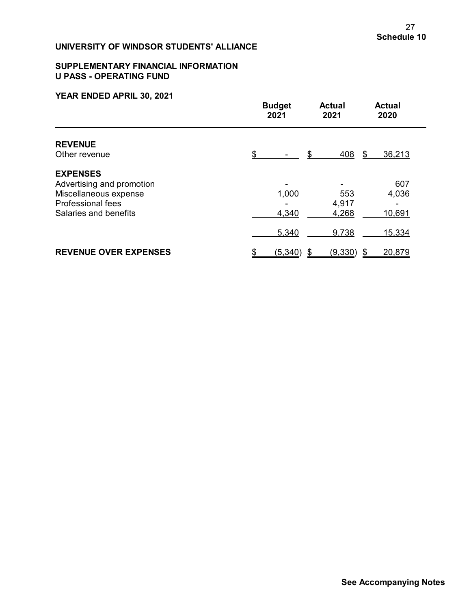## **SUPPLEMENTARY FINANCIAL INFORMATION U PASS - OPERATING FUND**

|                              | <b>Budget</b><br>2021 |          | <b>Actual</b><br>2021 | <b>Actual</b><br>2020 |     |
|------------------------------|-----------------------|----------|-----------------------|-----------------------|-----|
| <b>REVENUE</b>               |                       |          |                       |                       |     |
| Other revenue                | \$                    |          | 408<br>\$             | 36,213<br>\$          |     |
| <b>EXPENSES</b>              |                       |          |                       |                       |     |
| Advertising and promotion    |                       |          |                       |                       | 607 |
| Miscellaneous expense        |                       | 1,000    | 553                   | 4,036                 |     |
| <b>Professional fees</b>     |                       |          | 4,917                 |                       |     |
| Salaries and benefits        |                       | 4,340    | 4,268                 | 10,691                |     |
|                              |                       | 5,340    | 9,738                 | 15,334                |     |
| <b>REVENUE OVER EXPENSES</b> |                       | (5, 340) | (9, 330)              | 20,879<br>\$          |     |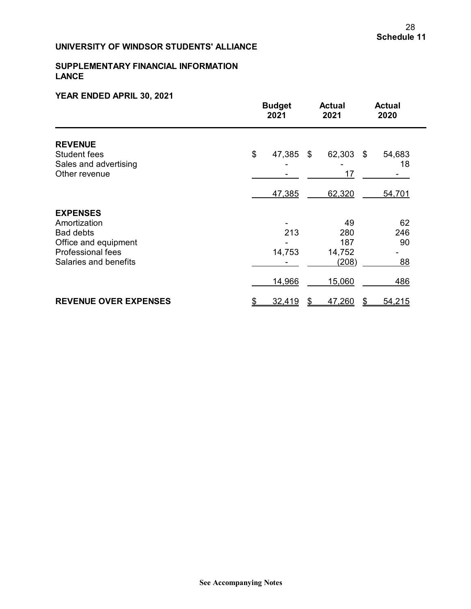## **SUPPLEMENTARY FINANCIAL INFORMATION LANCE**

|                                                                                                                           | <b>Budget</b><br>2021 | <b>Actual</b><br>2021                      | <b>Actual</b><br>2020 |  |
|---------------------------------------------------------------------------------------------------------------------------|-----------------------|--------------------------------------------|-----------------------|--|
| <b>REVENUE</b><br><b>Student fees</b><br>Sales and advertising<br>Other revenue                                           | \$<br>47,385          | 62,303<br>\$<br>17                         | 54,683<br>\$<br>18    |  |
|                                                                                                                           | 47,385                | 62,320                                     | 54,701                |  |
| <b>EXPENSES</b><br>Amortization<br><b>Bad debts</b><br>Office and equipment<br>Professional fees<br>Salaries and benefits | 14,753                | 49<br>213<br>280<br>187<br>14,752<br>(208) | 62<br>246<br>90<br>88 |  |
|                                                                                                                           | 14,966                | 15,060                                     | 486                   |  |
| <b>REVENUE OVER EXPENSES</b>                                                                                              | 32,419                | 47,260<br>\$                               | 54,215<br>\$          |  |